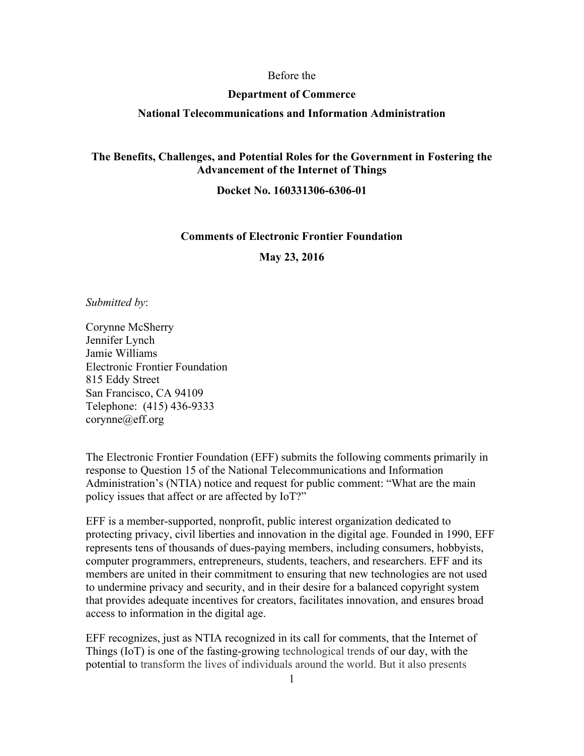#### Before the

#### **Department of Commerce**

### **National Telecommunications and Information Administration**

## **The Benefits, Challenges, and Potential Roles for the Government in Fostering the Advancement of the Internet of Things**

## **Docket No. 160331306-6306-01**

### **Comments of Electronic Frontier Foundation**

**May 23, 2016**

*Submitted by*:

Corynne McSherry Jennifer Lynch Jamie Williams Electronic Frontier Foundation 815 Eddy Street San Francisco, CA 94109 Telephone: (415) 436-9333 corynne@eff.org

The Electronic Frontier Foundation (EFF) submits the following comments primarily in response to Question 15 of the National Telecommunications and Information Administration's (NTIA) notice and request for public comment: "What are the main policy issues that affect or are affected by IoT?"

EFF is a member-supported, nonprofit, public interest organization dedicated to protecting privacy, civil liberties and innovation in the digital age. Founded in 1990, EFF represents tens of thousands of dues-paying members, including consumers, hobbyists, computer programmers, entrepreneurs, students, teachers, and researchers. EFF and its members are united in their commitment to ensuring that new technologies are not used to undermine privacy and security, and in their desire for a balanced copyright system that provides adequate incentives for creators, facilitates innovation, and ensures broad access to information in the digital age.

EFF recognizes, just as NTIA recognized in its call for comments, that the Internet of Things (IoT) is one of the fasting-growing technological trends of our day, with the potential to transform the lives of individuals around the world. But it also presents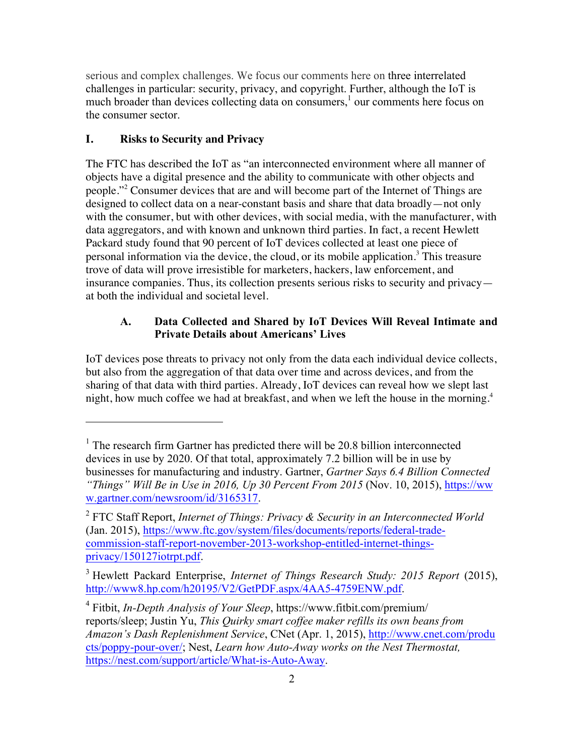serious and complex challenges. We focus our comments here on three interrelated challenges in particular: security, privacy, and copyright. Further, although the IoT is much broader than devices collecting data on consumers,<sup>1</sup> our comments here focus on the consumer sector.

### **I. Risks to Security and Privacy**

 $\overline{a}$ 

The FTC has described the IoT as "an interconnected environment where all manner of objects have a digital presence and the ability to communicate with other objects and people."<sup>2</sup> Consumer devices that are and will become part of the Internet of Things are designed to collect data on a near-constant basis and share that data broadly—not only with the consumer, but with other devices, with social media, with the manufacturer, with data aggregators, and with known and unknown third parties. In fact, a recent Hewlett Packard study found that 90 percent of IoT devices collected at least one piece of personal information via the device, the cloud, or its mobile application.<sup>3</sup> This treasure trove of data will prove irresistible for marketers, hackers, law enforcement, and insurance companies. Thus, its collection presents serious risks to security and privacy at both the individual and societal level.

### **A. Data Collected and Shared by IoT Devices Will Reveal Intimate and Private Details about Americans' Lives**

IoT devices pose threats to privacy not only from the data each individual device collects, but also from the aggregation of that data over time and across devices, and from the sharing of that data with third parties. Already, IoT devices can reveal how we slept last night, how much coffee we had at breakfast, and when we left the house in the morning.<sup>4</sup>

<sup>&</sup>lt;sup>1</sup> The research firm Gartner has predicted there will be 20.8 billion interconnected devices in use by 2020. Of that total, approximately 7.2 billion will be in use by businesses for manufacturing and industry. Gartner, *Gartner Says 6.4 Billion Connected "Things" Will Be in Use in 2016, Up 30 Percent From 2015* (Nov. 10, 2015), https://ww w.gartner.com/newsroom/id/3165317.

<sup>2</sup> FTC Staff Report, *Internet of Things: Privacy & Security in an Interconnected World* (Jan. 2015), https://www.ftc.gov/system/files/documents/reports/federal-tradecommission-staff-report-november-2013-workshop-entitled-internet-thingsprivacy/150127iotrpt.pdf.

<sup>3</sup> Hewlett Packard Enterprise, *Internet of Things Research Study: 2015 Report* (2015), http://www8.hp.com/h20195/V2/GetPDF.aspx/4AA5-4759ENW.pdf.

<sup>4</sup> Fitbit, *In-Depth Analysis of Your Sleep*, https://www.fitbit.com/premium/ reports/sleep; Justin Yu, *This Quirky smart coffee maker refills its own beans from Amazon's Dash Replenishment Service*, CNet (Apr. 1, 2015), http://www.cnet.com/produ cts/poppy-pour-over/; Nest, *Learn how Auto-Away works on the Nest Thermostat,* https://nest.com/support/article/What-is-Auto-Away.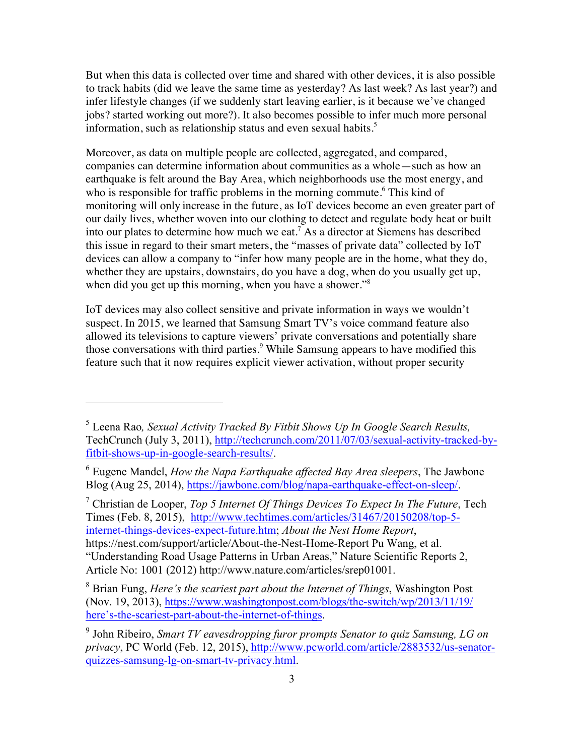But when this data is collected over time and shared with other devices, it is also possible to track habits (did we leave the same time as yesterday? As last week? As last year?) and infer lifestyle changes (if we suddenly start leaving earlier, is it because we've changed jobs? started working out more?). It also becomes possible to infer much more personal information, such as relationship status and even sexual habits.<sup>5</sup>

Moreover, as data on multiple people are collected, aggregated, and compared, companies can determine information about communities as a whole—such as how an earthquake is felt around the Bay Area, which neighborhoods use the most energy, and who is responsible for traffic problems in the morning commute.<sup>6</sup> This kind of monitoring will only increase in the future, as IoT devices become an even greater part of our daily lives, whether woven into our clothing to detect and regulate body heat or built into our plates to determine how much we eat.7 As a director at Siemens has described this issue in regard to their smart meters, the "masses of private data" collected by IoT devices can allow a company to "infer how many people are in the home, what they do, whether they are upstairs, downstairs, do you have a dog, when do you usually get up, when did you get up this morning, when you have a shower."<sup>8</sup>

IoT devices may also collect sensitive and private information in ways we wouldn't suspect. In 2015, we learned that Samsung Smart TV's voice command feature also allowed its televisions to capture viewers' private conversations and potentially share those conversations with third parties.<sup>9</sup> While Samsung appears to have modified this feature such that it now requires explicit viewer activation, without proper security

 $\overline{a}$ 

<sup>7</sup> Christian de Looper, *Top 5 Internet Of Things Devices To Expect In The Future*, Tech Times (Feb. 8, 2015), http://www.techtimes.com/articles/31467/20150208/top-5 internet-things-devices-expect-future.htm; *About the Nest Home Report*, https://nest.com/support/article/About-the-Nest-Home-Report Pu Wang, et al. "Understanding Road Usage Patterns in Urban Areas," Nature Scientific Reports 2, Article No: 1001 (2012) http://www.nature.com/articles/srep01001.

<sup>5</sup> Leena Rao*, Sexual Activity Tracked By Fitbit Shows Up In Google Search Results,* TechCrunch (July 3, 2011), http://techcrunch.com/2011/07/03/sexual-activity-tracked-byfitbit-shows-up-in-google-search-results/.

<sup>6</sup> Eugene Mandel, *How the Napa Earthquake affected Bay Area sleepers*, The Jawbone Blog (Aug 25, 2014), https://jawbone.com/blog/napa-earthquake-effect-on-sleep/.

<sup>8</sup> Brian Fung, *Here's the scariest part about the Internet of Things*, Washington Post (Nov. 19, 2013), https://www.washingtonpost.com/blogs/the-switch/wp/2013/11/19/ here's-the-scariest-part-about-the-internet-of-things.

<sup>9</sup> John Ribeiro, *Smart TV eavesdropping furor prompts Senator to quiz Samsung, LG on privacy*, PC World (Feb. 12, 2015), http://www.pcworld.com/article/2883532/us-senatorquizzes-samsung-lg-on-smart-tv-privacy.html.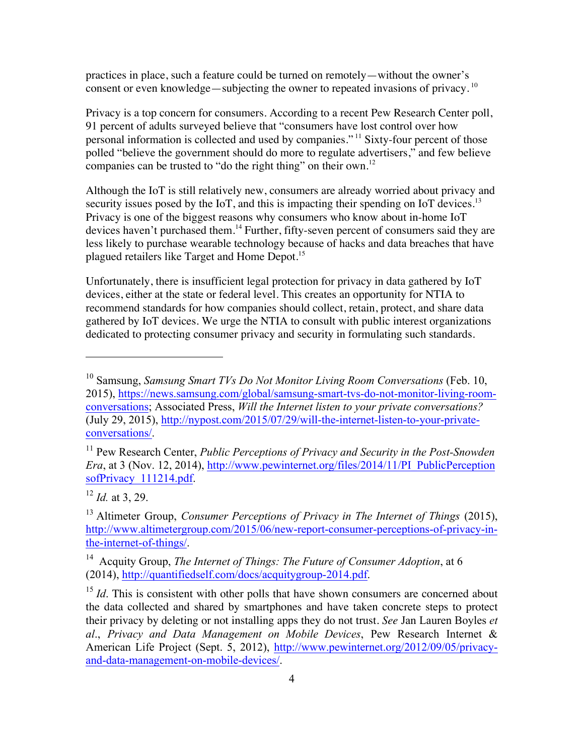practices in place, such a feature could be turned on remotely—without the owner's consent or even knowledge—subjecting the owner to repeated invasions of privacy.  $10$ 

Privacy is a top concern for consumers. According to a recent Pew Research Center poll, 91 percent of adults surveyed believe that "consumers have lost control over how personal information is collected and used by companies." <sup>11</sup> Sixty-four percent of those polled "believe the government should do more to regulate advertisers," and few believe companies can be trusted to "do the right thing" on their own.<sup>12</sup>

Although the IoT is still relatively new, consumers are already worried about privacy and security issues posed by the IoT, and this is impacting their spending on IoT devices.<sup>13</sup> Privacy is one of the biggest reasons why consumers who know about in-home IoT devices haven't purchased them.<sup>14</sup> Further, fifty-seven percent of consumers said they are less likely to purchase wearable technology because of hacks and data breaches that have plagued retailers like Target and Home Depot.<sup>15</sup>

Unfortunately, there is insufficient legal protection for privacy in data gathered by IoT devices, either at the state or federal level. This creates an opportunity for NTIA to recommend standards for how companies should collect, retain, protect, and share data gathered by IoT devices. We urge the NTIA to consult with public interest organizations dedicated to protecting consumer privacy and security in formulating such standards.

<sup>10</sup> Samsung, *Samsung Smart TVs Do Not Monitor Living Room Conversations* (Feb. 10, 2015), https://news.samsung.com/global/samsung-smart-tvs-do-not-monitor-living-roomconversations; Associated Press, *Will the Internet listen to your private conversations?* (July 29, 2015), http://nypost.com/2015/07/29/will-the-internet-listen-to-your-privateconversations/.

<sup>&</sup>lt;sup>11</sup> Pew Research Center, *Public Perceptions of Privacy and Security in the Post-Snowden Era*, at 3 (Nov. 12, 2014), http://www.pewinternet.org/files/2014/11/PI\_PublicPerception sofPrivacy 111214.pdf.

<sup>12</sup> *Id.* at 3, 29.

<sup>13</sup> Altimeter Group, *Consumer Perceptions of Privacy in The Internet of Things* (2015), http://www.altimetergroup.com/2015/06/new-report-consumer-perceptions-of-privacy-inthe-internet-of-things/.

<sup>14</sup> Acquity Group, *The Internet of Things: The Future of Consumer Adoption*, at 6 (2014), http://quantifiedself.com/docs/acquitygroup-2014.pdf.

<sup>&</sup>lt;sup>15</sup> *Id*. This is consistent with other polls that have shown consumers are concerned about the data collected and shared by smartphones and have taken concrete steps to protect their privacy by deleting or not installing apps they do not trust. *See* Jan Lauren Boyles *et al*., *Privacy and Data Management on Mobile Devices*, Pew Research Internet & American Life Project (Sept. 5, 2012), http://www.pewinternet.org/2012/09/05/privacyand-data-management-on-mobile-devices/.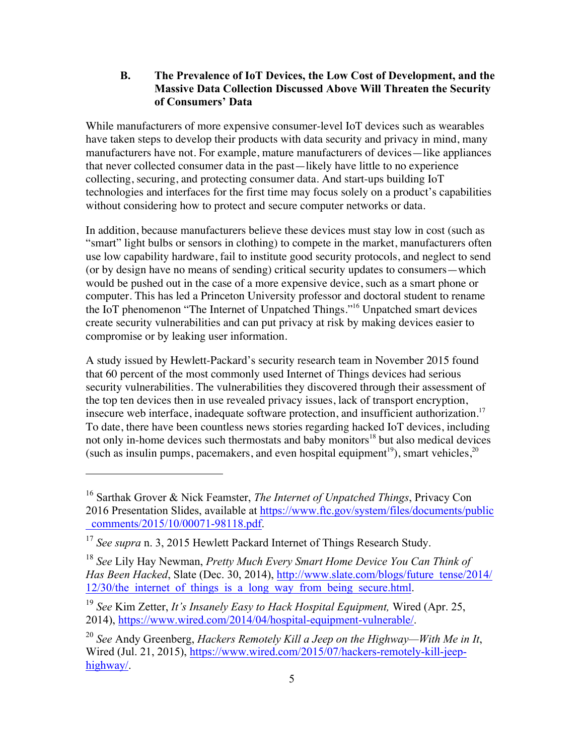### **B. The Prevalence of IoT Devices, the Low Cost of Development, and the Massive Data Collection Discussed Above Will Threaten the Security of Consumers' Data**

While manufacturers of more expensive consumer-level IoT devices such as wearables have taken steps to develop their products with data security and privacy in mind, many manufacturers have not. For example, mature manufacturers of devices—like appliances that never collected consumer data in the past—likely have little to no experience collecting, securing, and protecting consumer data. And start-ups building IoT technologies and interfaces for the first time may focus solely on a product's capabilities without considering how to protect and secure computer networks or data.

In addition, because manufacturers believe these devices must stay low in cost (such as "smart" light bulbs or sensors in clothing) to compete in the market, manufacturers often use low capability hardware, fail to institute good security protocols, and neglect to send (or by design have no means of sending) critical security updates to consumers—which would be pushed out in the case of a more expensive device, such as a smart phone or computer. This has led a Princeton University professor and doctoral student to rename the IoT phenomenon "The Internet of Unpatched Things."16 Unpatched smart devices create security vulnerabilities and can put privacy at risk by making devices easier to compromise or by leaking user information.

A study issued by Hewlett-Packard's security research team in November 2015 found that 60 percent of the most commonly used Internet of Things devices had serious security vulnerabilities. The vulnerabilities they discovered through their assessment of the top ten devices then in use revealed privacy issues, lack of transport encryption, insecure web interface, inadequate software protection, and insufficient authorization.<sup>17</sup> To date, there have been countless news stories regarding hacked IoT devices, including not only in-home devices such thermostats and baby monitors<sup>18</sup> but also medical devices (such as insulin pumps, pacemakers, and even hospital equipment<sup>19</sup>), smart vehicles,  $2^{0}$ 

<sup>16</sup> Sarthak Grover & Nick Feamster, *The Internet of Unpatched Things*, Privacy Con 2016 Presentation Slides, available at https://www.ftc.gov/system/files/documents/public \_comments/2015/10/00071-98118.pdf.

<sup>&</sup>lt;sup>17</sup> *See supra* n. 3, 2015 Hewlett Packard Internet of Things Research Study.

<sup>18</sup> *See* Lily Hay Newman, *Pretty Much Every Smart Home Device You Can Think of Has Been Hacked*, Slate (Dec. 30, 2014), http://www.slate.com/blogs/future\_tense/2014/ 12/30/the internet of things is a long way from being secure.html.

<sup>19</sup> *See* Kim Zetter, *It's Insanely Easy to Hack Hospital Equipment,* Wired (Apr. 25, 2014), https://www.wired.com/2014/04/hospital-equipment-vulnerable/.

<sup>20</sup> *See* Andy Greenberg, *Hackers Remotely Kill a Jeep on the Highway—With Me in It*, Wired (Jul. 21, 2015), https://www.wired.com/2015/07/hackers-remotely-kill-jeephighway/.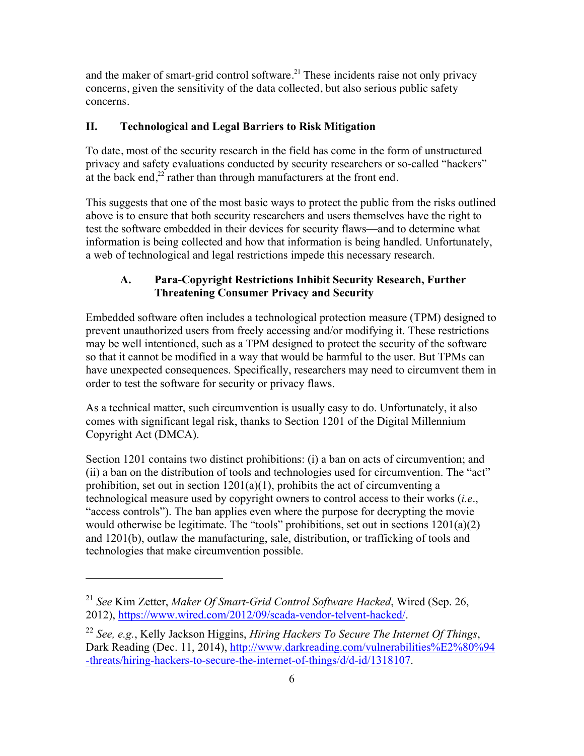and the maker of smart-grid control software.<sup>21</sup> These incidents raise not only privacy concerns, given the sensitivity of the data collected, but also serious public safety concerns.

## **II. Technological and Legal Barriers to Risk Mitigation**

To date, most of the security research in the field has come in the form of unstructured privacy and safety evaluations conducted by security researchers or so-called "hackers" at the back end,<sup>22</sup> rather than through manufacturers at the front end.

This suggests that one of the most basic ways to protect the public from the risks outlined above is to ensure that both security researchers and users themselves have the right to test the software embedded in their devices for security flaws—and to determine what information is being collected and how that information is being handled. Unfortunately, a web of technological and legal restrictions impede this necessary research.

## **A. Para-Copyright Restrictions Inhibit Security Research, Further Threatening Consumer Privacy and Security**

Embedded software often includes a technological protection measure (TPM) designed to prevent unauthorized users from freely accessing and/or modifying it. These restrictions may be well intentioned, such as a TPM designed to protect the security of the software so that it cannot be modified in a way that would be harmful to the user. But TPMs can have unexpected consequences. Specifically, researchers may need to circumvent them in order to test the software for security or privacy flaws.

As a technical matter, such circumvention is usually easy to do. Unfortunately, it also comes with significant legal risk, thanks to Section 1201 of the Digital Millennium Copyright Act (DMCA).

Section 1201 contains two distinct prohibitions: (i) a ban on acts of circumvention; and (ii) a ban on the distribution of tools and technologies used for circumvention. The "act" prohibition, set out in section 1201(a)(1), prohibits the act of circumventing a technological measure used by copyright owners to control access to their works (*i.e*., "access controls"). The ban applies even where the purpose for decrypting the movie would otherwise be legitimate. The "tools" prohibitions, set out in sections 1201(a)(2) and 1201(b), outlaw the manufacturing, sale, distribution, or trafficking of tools and technologies that make circumvention possible.

<sup>21</sup> *See* Kim Zetter, *Maker Of Smart-Grid Control Software Hacked*, Wired (Sep. 26, 2012), https://www.wired.com/2012/09/scada-vendor-telvent-hacked/.

<sup>22</sup> *See, e.g.*, Kelly Jackson Higgins, *Hiring Hackers To Secure The Internet Of Things*, Dark Reading (Dec. 11, 2014), http://www.darkreading.com/vulnerabilities%E2%80%94 -threats/hiring-hackers-to-secure-the-internet-of-things/d/d-id/1318107.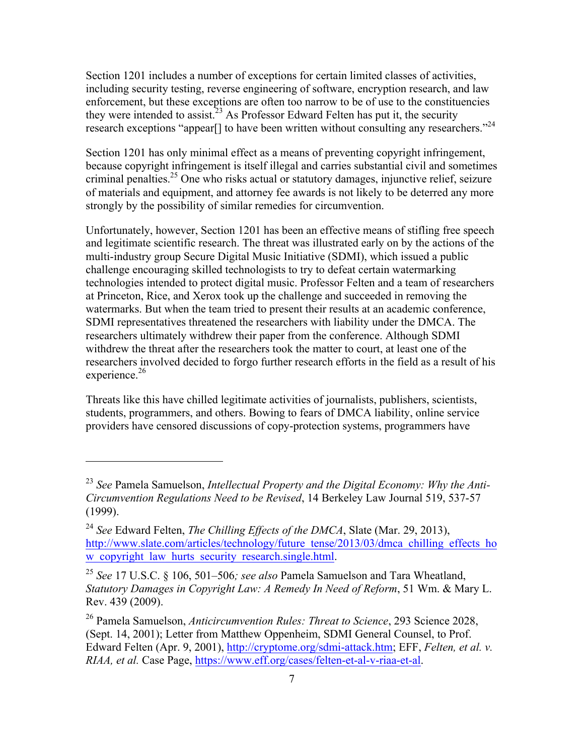Section 1201 includes a number of exceptions for certain limited classes of activities, including security testing, reverse engineering of software, encryption research, and law enforcement, but these exceptions are often too narrow to be of use to the constituencies they were intended to assist.<sup>23</sup> As Professor Edward Felten has put it, the security research exceptions "appear<sup>[]</sup> to have been written without consulting any researchers."<sup>24</sup>

Section 1201 has only minimal effect as a means of preventing copyright infringement, because copyright infringement is itself illegal and carries substantial civil and sometimes criminal penalties. <sup>25</sup> One who risks actual or statutory damages, injunctive relief, seizure of materials and equipment, and attorney fee awards is not likely to be deterred any more strongly by the possibility of similar remedies for circumvention.

Unfortunately, however, Section 1201 has been an effective means of stifling free speech and legitimate scientific research. The threat was illustrated early on by the actions of the multi-industry group Secure Digital Music Initiative (SDMI), which issued a public challenge encouraging skilled technologists to try to defeat certain watermarking technologies intended to protect digital music. Professor Felten and a team of researchers at Princeton, Rice, and Xerox took up the challenge and succeeded in removing the watermarks. But when the team tried to present their results at an academic conference, SDMI representatives threatened the researchers with liability under the DMCA. The researchers ultimately withdrew their paper from the conference. Although SDMI withdrew the threat after the researchers took the matter to court, at least one of the researchers involved decided to forgo further research efforts in the field as a result of his experience.<sup>26</sup>

Threats like this have chilled legitimate activities of journalists, publishers, scientists, students, programmers, and others. Bowing to fears of DMCA liability, online service providers have censored discussions of copy-protection systems, programmers have

<sup>23</sup> *See* Pamela Samuelson, *Intellectual Property and the Digital Economy: Why the Anti-Circumvention Regulations Need to be Revised*, 14 Berkeley Law Journal 519, 537-57 (1999).

<sup>24</sup> *See* Edward Felten, *The Chilling Effects of the DMCA*, Slate (Mar. 29, 2013), http://www.slate.com/articles/technology/future\_tense/2013/03/dmca\_chilling\_effects\_ho w copyright law hurts security research.single.html.

<sup>25</sup> *See* 17 U.S.C. § 106, 501–506*; see also* Pamela Samuelson and Tara Wheatland, *Statutory Damages in Copyright Law: A Remedy In Need of Reform*, 51 Wm. & Mary L. Rev. 439 (2009).

<sup>26</sup> Pamela Samuelson, *Anticircumvention Rules: Threat to Science*, 293 Science 2028, (Sept. 14, 2001); Letter from Matthew Oppenheim, SDMI General Counsel, to Prof. Edward Felten (Apr. 9, 2001), http://cryptome.org/sdmi-attack.htm; EFF, *Felten, et al. v. RIAA, et al.* Case Page, https://www.eff.org/cases/felten-et-al-v-riaa-et-al.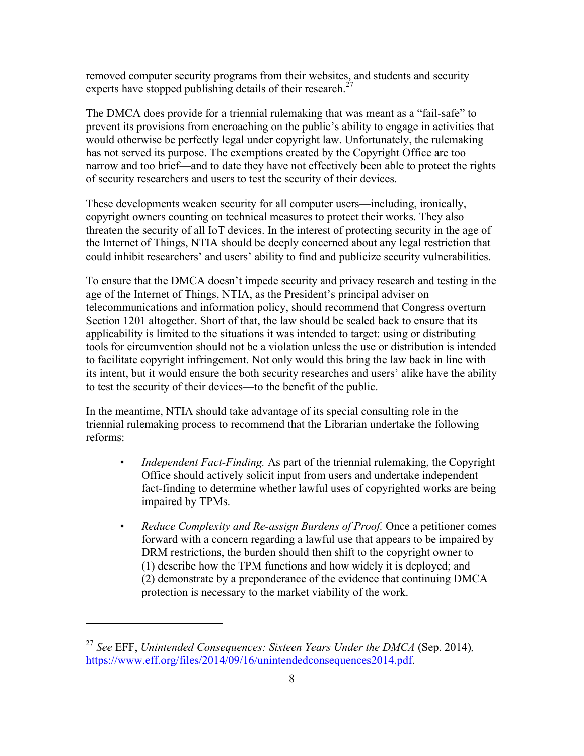removed computer security programs from their websites, and students and security experts have stopped publishing details of their research.<sup>27</sup>

The DMCA does provide for a triennial rulemaking that was meant as a "fail-safe" to prevent its provisions from encroaching on the public's ability to engage in activities that would otherwise be perfectly legal under copyright law. Unfortunately, the rulemaking has not served its purpose. The exemptions created by the Copyright Office are too narrow and too brief—and to date they have not effectively been able to protect the rights of security researchers and users to test the security of their devices.

These developments weaken security for all computer users—including, ironically, copyright owners counting on technical measures to protect their works. They also threaten the security of all IoT devices. In the interest of protecting security in the age of the Internet of Things, NTIA should be deeply concerned about any legal restriction that could inhibit researchers' and users' ability to find and publicize security vulnerabilities.

To ensure that the DMCA doesn't impede security and privacy research and testing in the age of the Internet of Things, NTIA, as the President's principal adviser on telecommunications and information policy, should recommend that Congress overturn Section 1201 altogether. Short of that, the law should be scaled back to ensure that its applicability is limited to the situations it was intended to target: using or distributing tools for circumvention should not be a violation unless the use or distribution is intended to facilitate copyright infringement. Not only would this bring the law back in line with its intent, but it would ensure the both security researches and users' alike have the ability to test the security of their devices—to the benefit of the public.

In the meantime, NTIA should take advantage of its special consulting role in the triennial rulemaking process to recommend that the Librarian undertake the following reforms:

- *Independent Fact-Finding.* As part of the triennial rulemaking, the Copyright Office should actively solicit input from users and undertake independent fact-finding to determine whether lawful uses of copyrighted works are being impaired by TPMs.
- *Reduce Complexity and Re-assign Burdens of Proof.* Once a petitioner comes forward with a concern regarding a lawful use that appears to be impaired by DRM restrictions, the burden should then shift to the copyright owner to (1) describe how the TPM functions and how widely it is deployed; and (2) demonstrate by a preponderance of the evidence that continuing DMCA protection is necessary to the market viability of the work.

<sup>27</sup> *See* EFF, *Unintended Consequences: Sixteen Years Under the DMCA* (Sep. 2014)*,* https://www.eff.org/files/2014/09/16/unintendedconsequences2014.pdf.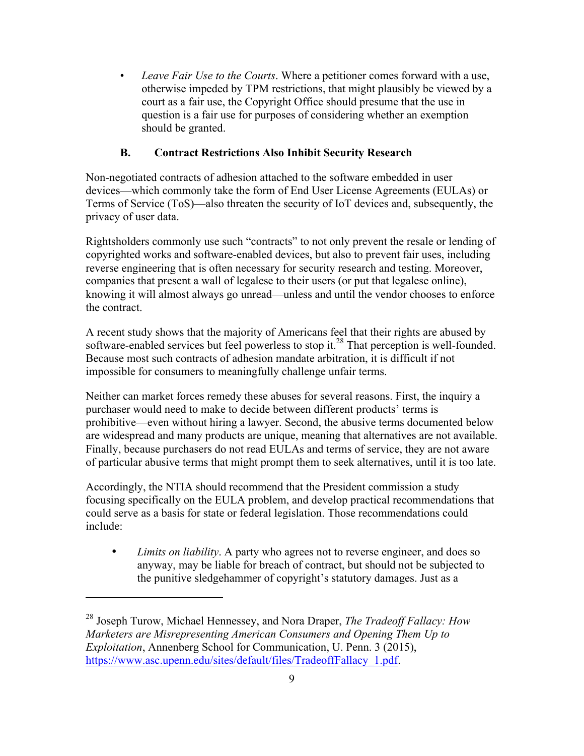• *Leave Fair Use to the Courts*. Where a petitioner comes forward with a use, otherwise impeded by TPM restrictions, that might plausibly be viewed by a court as a fair use, the Copyright Office should presume that the use in question is a fair use for purposes of considering whether an exemption should be granted.

# **B. Contract Restrictions Also Inhibit Security Research**

Non-negotiated contracts of adhesion attached to the software embedded in user devices—which commonly take the form of End User License Agreements (EULAs) or Terms of Service (ToS)—also threaten the security of IoT devices and, subsequently, the privacy of user data.

Rightsholders commonly use such "contracts" to not only prevent the resale or lending of copyrighted works and software-enabled devices, but also to prevent fair uses, including reverse engineering that is often necessary for security research and testing. Moreover, companies that present a wall of legalese to their users (or put that legalese online), knowing it will almost always go unread—unless and until the vendor chooses to enforce the contract.

A recent study shows that the majority of Americans feel that their rights are abused by software-enabled services but feel powerless to stop it.<sup>28</sup> That perception is well-founded. Because most such contracts of adhesion mandate arbitration, it is difficult if not impossible for consumers to meaningfully challenge unfair terms.

Neither can market forces remedy these abuses for several reasons. First, the inquiry a purchaser would need to make to decide between different products' terms is prohibitive—even without hiring a lawyer. Second, the abusive terms documented below are widespread and many products are unique, meaning that alternatives are not available. Finally, because purchasers do not read EULAs and terms of service, they are not aware of particular abusive terms that might prompt them to seek alternatives, until it is too late.

Accordingly, the NTIA should recommend that the President commission a study focusing specifically on the EULA problem, and develop practical recommendations that could serve as a basis for state or federal legislation. Those recommendations could include:

• *Limits on liability*. A party who agrees not to reverse engineer, and does so anyway, may be liable for breach of contract, but should not be subjected to the punitive sledgehammer of copyright's statutory damages. Just as a

<sup>28</sup> Joseph Turow, Michael Hennessey, and Nora Draper, *The Tradeoff Fallacy: How Marketers are Misrepresenting American Consumers and Opening Them Up to Exploitation*, Annenberg School for Communication, U. Penn. 3 (2015), https://www.asc.upenn.edu/sites/default/files/TradeoffFallacy\_1.pdf.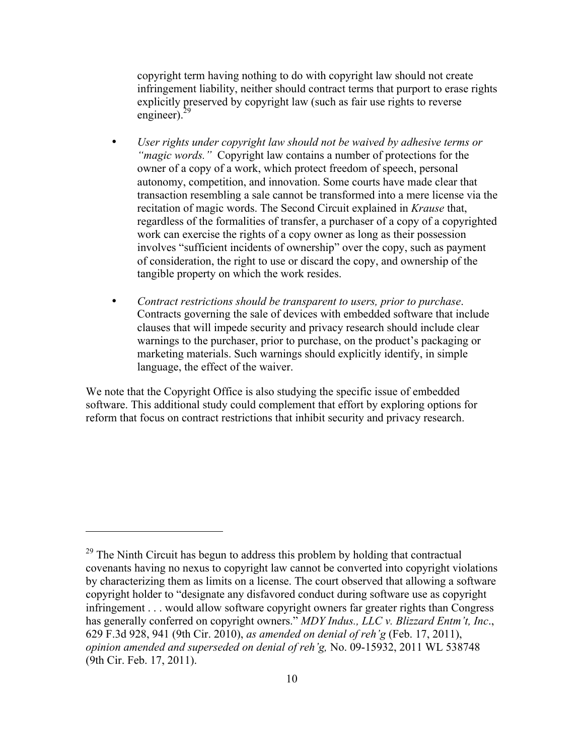copyright term having nothing to do with copyright law should not create infringement liability, neither should contract terms that purport to erase rights explicitly preserved by copyright law (such as fair use rights to reverse engineer). $^{2}$ 

- *User rights under copyright law should not be waived by adhesive terms or "magic words."* Copyright law contains a number of protections for the owner of a copy of a work, which protect freedom of speech, personal autonomy, competition, and innovation. Some courts have made clear that transaction resembling a sale cannot be transformed into a mere license via the recitation of magic words. The Second Circuit explained in *Krause* that, regardless of the formalities of transfer, a purchaser of a copy of a copyrighted work can exercise the rights of a copy owner as long as their possession involves "sufficient incidents of ownership" over the copy, such as payment of consideration, the right to use or discard the copy, and ownership of the tangible property on which the work resides.
- *Contract restrictions should be transparent to users, prior to purchase*. Contracts governing the sale of devices with embedded software that include clauses that will impede security and privacy research should include clear warnings to the purchaser, prior to purchase, on the product's packaging or marketing materials. Such warnings should explicitly identify, in simple language, the effect of the waiver.

We note that the Copyright Office is also studying the specific issue of embedded software. This additional study could complement that effort by exploring options for reform that focus on contract restrictions that inhibit security and privacy research.

 $29$  The Ninth Circuit has begun to address this problem by holding that contractual covenants having no nexus to copyright law cannot be converted into copyright violations by characterizing them as limits on a license. The court observed that allowing a software copyright holder to "designate any disfavored conduct during software use as copyright infringement . . . would allow software copyright owners far greater rights than Congress has generally conferred on copyright owners." *MDY Indus., LLC v. Blizzard Entm't, Inc*., 629 F.3d 928, 941 (9th Cir. 2010), *as amended on denial of reh'g* (Feb. 17, 2011), *opinion amended and superseded on denial of reh'g,* No. 09-15932, 2011 WL 538748 (9th Cir. Feb. 17, 2011).